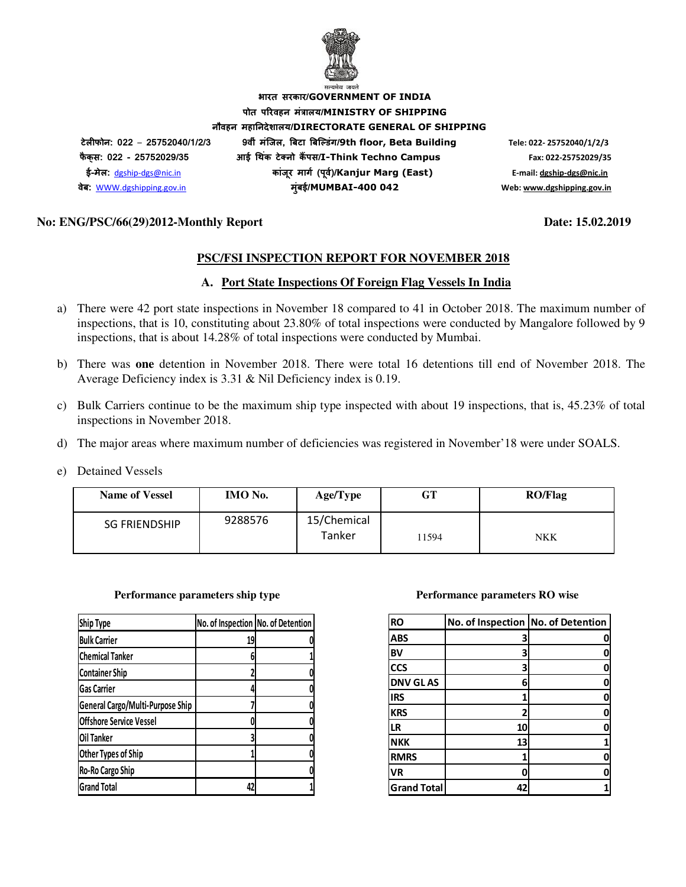

**भारत सरकार/GOVERNMENT OF INDIA पोत परवहन मंालय/MINISTRY OF SHIPPING नौवहन महानदेशालय/DIRECTORATE GENERAL OF SHIPPING टेलफोन: 022** – **25752040/1/2/3 9वीं मंिजल, )बटा )बि+डंग/9th floor, Beta Building Tele: 022- 25752040/1/2/3 फै क् स: 022 - 25752029/35 आई 3थक टे5 नो क ं 6पस/I-Think Techno Campus Fax: 022-25752029/35 ई-मेल:** dgship-dgs@nic.in **कांजर माग8 (प ू व8)/ ू Kanjur Marg (East) E-mail: dgship-dgs@nic.in वेब:** WWW.dgshipping.gov.in **मुंबई/MUMBAI-400 042 Web: www.dgshipping.gov.in**

### **No: ENG/PSC/66(29)2012-Monthly Report Date: 15.02.2019**

### **PSC/FSI INSPECTION REPORT FOR NOVEMBER 2018**

### **A. Port State Inspections Of Foreign Flag Vessels In India**

- a) There were 42 port state inspections in November 18 compared to 41 in October 2018. The maximum number of inspections, that is 10, constituting about 23.80% of total inspections were conducted by Mangalore followed by 9 inspections, that is about 14.28% of total inspections were conducted by Mumbai.
- b) There was **one** detention in November 2018. There were total 16 detentions till end of November 2018. The Average Deficiency index is 3.31 & Nil Deficiency index is 0.19.
- c) Bulk Carriers continue to be the maximum ship type inspected with about 19 inspections, that is, 45.23% of total inspections in November 2018.
- d) The major areas where maximum number of deficiencies was registered in November'18 were under SOALS.
- e) Detained Vessels

| <b>Name of Vessel</b> | <b>IMO</b> No. | Age/Type              | GT    | <b>RO/Flag</b> |
|-----------------------|----------------|-----------------------|-------|----------------|
| <b>SG FRIENDSHIP</b>  | 9288576        | 15/Chemical<br>Tanker | 11594 | NKK            |

#### **Performance parameters ship type Theory Accord Performance parameters RO wise**

| <b>Ship Type</b>                 | No. of Inspection No. of Detention |  |
|----------------------------------|------------------------------------|--|
| <b>Bulk Carrier</b>              | 19                                 |  |
| <b>Chemical Tanker</b>           |                                    |  |
| <b>Container Ship</b>            |                                    |  |
| <b>Gas Carrier</b>               |                                    |  |
| General Cargo/Multi-Purpose Ship |                                    |  |
| <b>Offshore Service Vessel</b>   |                                    |  |
| Oil Tanker                       |                                    |  |
| Other Types of Ship              |                                    |  |
| Ro-Ro Cargo Ship                 |                                    |  |
| <b>Grand Total</b>               | 42                                 |  |

| <b>RO</b>          | No. of Inspection No. of Detention |   |
|--------------------|------------------------------------|---|
| <b>ABS</b>         |                                    |   |
| BV                 | З                                  |   |
| <b>CCS</b>         | з                                  |   |
| <b>DNV GLAS</b>    | 6                                  | 0 |
| <b>IRS</b>         |                                    | 0 |
| <b>KRS</b>         |                                    |   |
| <b>LR</b>          | 10                                 |   |
| <b>NKK</b>         | 13                                 |   |
| <b>RMRS</b>        |                                    |   |
| <b>VR</b>          | Ω                                  |   |
| <b>Grand Total</b> | 42                                 |   |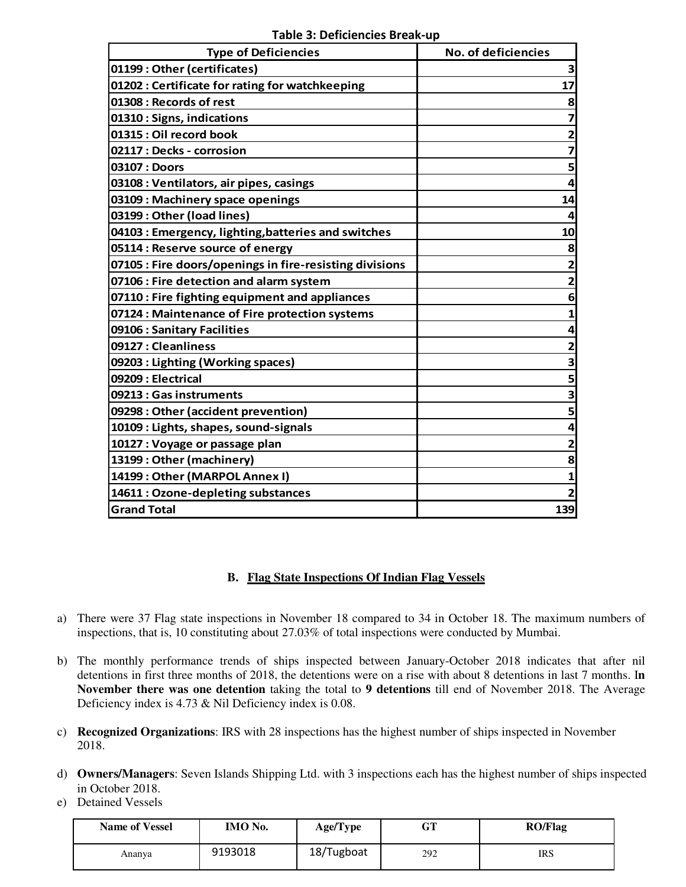**Table 3: Deficiencies Break-up** 

| <b>Type of Deficiencies</b>                             | No. of deficiencies     |
|---------------------------------------------------------|-------------------------|
| 01199: Other (certificates)                             | 3                       |
| 01202 : Certificate for rating for watchkeeping         | 17                      |
| 01308 : Records of rest                                 | 8                       |
| 01310: Signs, indications                               | 7                       |
| 01315 : Oil record book                                 | $\overline{\mathbf{2}}$ |
| 02117 : Decks - corrosion                               | $\overline{\mathbf{z}}$ |
| 03107 : Doors                                           | 5                       |
| 03108 : Ventilators, air pipes, casings                 | 4                       |
| 03109 : Machinery space openings                        | 14                      |
| 03199 : Other (load lines)                              |                         |
| 04103 : Emergency, lighting, batteries and switches     | 10                      |
| 05114 : Reserve source of energy                        | 8                       |
| 07105 : Fire doors/openings in fire-resisting divisions | $\overline{2}$          |
| 07106 : Fire detection and alarm system                 | $\overline{2}$          |
| 07110 : Fire fighting equipment and appliances          | 6                       |
| 07124 : Maintenance of Fire protection systems          | 1                       |
| 09106 : Sanitary Facilities                             | 4                       |
| 09127: Cleanliness                                      | $\mathbf{2}$            |
| 09203 : Lighting (Working spaces)                       | 3                       |
| 09209 : Electrical                                      | 5                       |
| 09213 : Gas instruments                                 | 3                       |
| 09298 : Other (accident prevention)                     | 5                       |
| 10109 : Lights, shapes, sound-signals                   | 4                       |
| 10127 : Voyage or passage plan                          | $\overline{\mathbf{2}}$ |
| 13199: Other (machinery)                                | 8                       |
| 14199: Other (MARPOL Annex I)                           | $\mathbf{1}$            |
| 14611 : Ozone-depleting substances                      |                         |
| <b>Grand Total</b>                                      | 139                     |

# **B. Flag State Inspections Of Indian Flag Vessels**

- a) There were 37 Flag state inspections in November 18 compared to 34 in October 18. The maximum numbers of inspections, that is, 10 constituting about 27.03% of total inspections were conducted by Mumbai.
- b) The monthly performance trends of ships inspected between January-October 2018 indicates that after nil detentions in first three months of 2018, the detentions were on a rise with about 8 detentions in last 7 months. I**n November there was one detention** taking the total to **9 detentions** till end of November 2018. The Average Deficiency index is 4.73 & Nil Deficiency index is 0.08.
- c) **Recognized Organizations**: IRS with 28 inspections has the highest number of ships inspected in November 2018.
- d) **Owners/Managers**: Seven Islands Shipping Ltd. with 3 inspections each has the highest number of ships inspected in October 2018.
- e) Detained Vessels

 $\overline{\phantom{a}}$ 

| <b>Name of Vessel</b> | IMO No. | Age/Type   | $\sim$ T<br>Ծ⊥ | <b>RO/Flag</b> |
|-----------------------|---------|------------|----------------|----------------|
| Ananya                | 9193018 | 18/Tugboat | 292            | IRS            |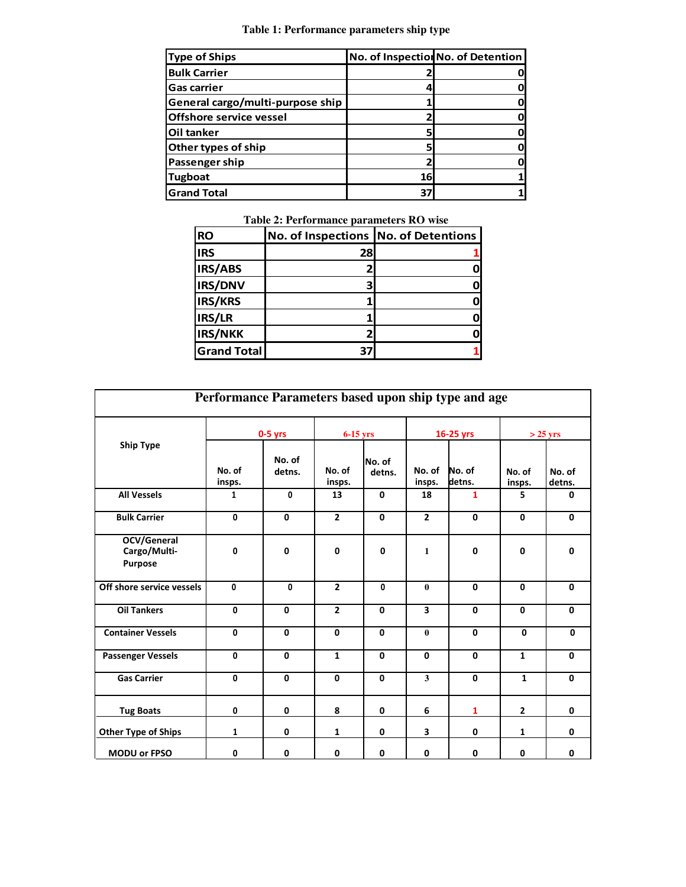# **Table 1: Performance parameters ship type**

| <b>Type of Ships</b>             |    | No. of Inspection No. of Detention |
|----------------------------------|----|------------------------------------|
| <b>Bulk Carrier</b>              |    |                                    |
| <b>Gas carrier</b>               |    |                                    |
| General cargo/multi-purpose ship |    |                                    |
| <b>Offshore service vessel</b>   |    |                                    |
| <b>Oil tanker</b>                |    |                                    |
| Other types of ship              |    |                                    |
| Passenger ship                   |    |                                    |
| <b>Tugboat</b>                   | 16 |                                    |
| Grand Total                      | 37 |                                    |

**Table 2: Performance parameters RO wise** 

| <b>RO</b>          | No. of Inspections No. of Detentions |  |
|--------------------|--------------------------------------|--|
| <b>IRS</b>         | 28                                   |  |
| IRS/ABS            |                                      |  |
| <b>IRS/DNV</b>     |                                      |  |
| IRS/KRS            |                                      |  |
| IRS/LR             |                                      |  |
| <b>IRS/NKK</b>     |                                      |  |
| <b>Grand Total</b> |                                      |  |

| Performance Parameters based upon ship type and age |                  |                  |                  |                  |                  |                  |                  |                  |
|-----------------------------------------------------|------------------|------------------|------------------|------------------|------------------|------------------|------------------|------------------|
|                                                     |                  | $0-5$ yrs        | $6-15$ yrs       |                  | 16-25 yrs        |                  | $>$ 25 yrs       |                  |
| <b>Ship Type</b>                                    | No. of<br>insps. | No. of<br>detns. | No. of<br>insps. | No. of<br>detns. | No. of<br>insps. | No. of<br>detns. | No. of<br>insps. | No. of<br>detns. |
| <b>All Vessels</b>                                  | $\mathbf{1}$     | 0                | 13               | 0                | 18               | $\mathbf{1}$     | 5                | 0                |
| <b>Bulk Carrier</b>                                 | 0                | 0                | $\overline{2}$   | 0                | $\mathbf{2}$     | 0                | 0                | $\mathbf 0$      |
| OCV/General<br>Cargo/Multi-<br>Purpose              | 0                | 0                | $\mathbf{0}$     | 0                | $\mathbf{1}$     | $\mathbf 0$      | $\mathbf 0$      | $\mathbf 0$      |
| Off shore service vessels                           | $\mathbf{0}$     | $\mathbf{0}$     | $\overline{2}$   | $\mathbf{0}$     | $\mathbf{0}$     | $\mathbf{0}$     | $\mathbf{0}$     | $\mathbf 0$      |
| <b>Oil Tankers</b>                                  | 0                | $\mathbf{0}$     | $\overline{2}$   | 0                | 3                | $\mathbf{0}$     | $\mathbf{0}$     | $\mathbf{0}$     |
| <b>Container Vessels</b>                            | 0                | 0                | $\mathbf 0$      | 0                | $\mathbf{0}$     | 0                | $\mathbf{0}$     | 0                |
| <b>Passenger Vessels</b>                            | 0                | 0                | $\mathbf{1}$     | $\mathbf 0$      | 0                | $\mathbf{0}$     | $\mathbf{1}$     | $\mathbf 0$      |
| <b>Gas Carrier</b>                                  | 0                | $\mathbf 0$      | 0                | 0                | 3                | $\mathbf{0}$     | $\mathbf{1}$     | $\mathbf{0}$     |
| <b>Tug Boats</b>                                    | 0                | 0                | 8                | 0                | 6                | $\mathbf{1}$     | $\mathbf{2}$     | 0                |
| <b>Other Type of Ships</b>                          | 1                | 0                | 1                | 0                | 3                | 0                | $\mathbf{1}$     | 0                |
| <b>MODU or FPSO</b>                                 | 0                | 0                | 0                | 0                | 0                | 0                | 0                | 0                |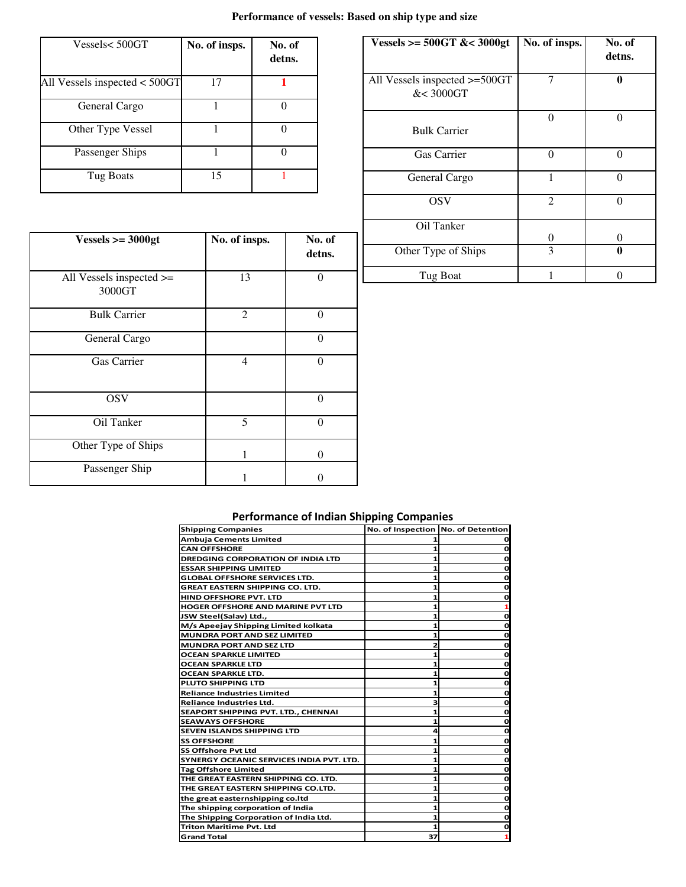# **Performance of vessels: Based on ship type and size**

| Vessels<500GT                   | No. of insps. | No. of<br>detns. |
|---------------------------------|---------------|------------------|
| All Vessels inspected $<$ 500GT | 17            |                  |
| General Cargo                   |               |                  |
| Other Type Vessel               |               |                  |
| Passenger Ships                 |               |                  |
| Tug Boats                       | 15            |                  |

| Vessels >= $500GT$ &< $3000gt$             | No. of insps.  | No. of<br>detns. |
|--------------------------------------------|----------------|------------------|
| All Vessels inspected >=500GT<br>&< 3000GT |                |                  |
| <b>Bulk Carrier</b>                        | 0              | 0                |
| <b>Gas Carrier</b>                         | 0              |                  |
| General Cargo                              |                | $\Omega$         |
| <b>OSV</b>                                 | $\overline{2}$ |                  |
| Oil Tanker                                 | 0              | 0                |
| Other Type of Ships                        | 3              | 0                |
| Tug Boat                                   |                |                  |

| $Vessels >= 3000gt$                     | No. of insps. | No. of<br>detns. |
|-----------------------------------------|---------------|------------------|
| All Vessels inspected $\ge$ =<br>3000GT | 13            | $\theta$         |
| <b>Bulk Carrier</b>                     | 2             | $\Omega$         |
| General Cargo                           |               | $\theta$         |
| Gas Carrier                             | 4             | $\Omega$         |
| <b>OSV</b>                              |               | $\Omega$         |
| Oil Tanker                              | 5             | $\theta$         |
| Other Type of Ships                     | 1             | 0                |
| Passenger Ship                          |               |                  |

# **Performance of Indian Shipping Companies**

| <b>Shipping Companies</b>                | No. of Inspection No. of Detention |   |
|------------------------------------------|------------------------------------|---|
| Ambuja Cements Limited                   |                                    |   |
| <b>CAN OFFSHORE</b>                      |                                    |   |
| <b>DREDGING CORPORATION OF INDIA LTD</b> |                                    | O |
| <b>ESSAR SHIPPING LIMITED</b>            |                                    | O |
| <b>GLOBAL OFFSHORE SERVICES LTD.</b>     | 1                                  | Ο |
| <b>GREAT EASTERN SHIPPING CO. LTD.</b>   | 1                                  | Ο |
| <b>HIND OFFSHORE PVT. LTD</b>            |                                    |   |
| <b>HOGER OFFSHORE AND MARINE PVT LTD</b> |                                    |   |
| JSW Steel(Salav) Ltd.,                   |                                    | Ο |
| M/s Apeejay Shipping Limited kolkata     | 1                                  | O |
| <b>MUNDRA PORT AND SEZ LIMITED</b>       |                                    | O |
| <b>MUNDRA PORT AND SEZ LTD</b>           |                                    | ο |
| OCEAN SPARKLE LIMITED                    | 1                                  | Ο |
| <b>OCEAN SPARKLE LTD</b>                 | 1                                  | Ο |
| <b>OCEAN SPARKLE LTD.</b>                |                                    |   |
| <b>PLUTO SHIPPING LTD</b>                |                                    | Ο |
| <b>Reliance Industries Limited</b>       |                                    |   |
| Reliance Industries Ltd.                 | 3                                  | O |
| SEAPORT SHIPPING PVT. LTD., CHENNAI      | 1                                  | O |
| <b>SEAWAYS OFFSHORE</b>                  | 1                                  | Ο |
| <b>SEVEN ISLANDS SHIPPING LTD</b>        | 4                                  |   |
| <b>SS OFFSHORE</b>                       |                                    | o |
| <b>SS Offshore Pvt Ltd</b>               |                                    | ο |
| SYNERGY OCEANIC SERVICES INDIA PVT. LTD. |                                    |   |
| <b>Tag Offshore Limited</b>              | 1                                  | o |
| THE GREAT EASTERN SHIPPING CO. LTD.      |                                    | Ο |
| THE GREAT EASTERN SHIPPING CO.LTD.       | 1                                  | Ο |
| the great easternshipping co.ltd         |                                    |   |
| The shipping corporation of India        |                                    |   |
| The Shipping Corporation of India Ltd.   |                                    |   |
| <b>Triton Maritime Pyt. Ltd</b>          |                                    | Ο |
| <b>Grand Total</b>                       | 37                                 |   |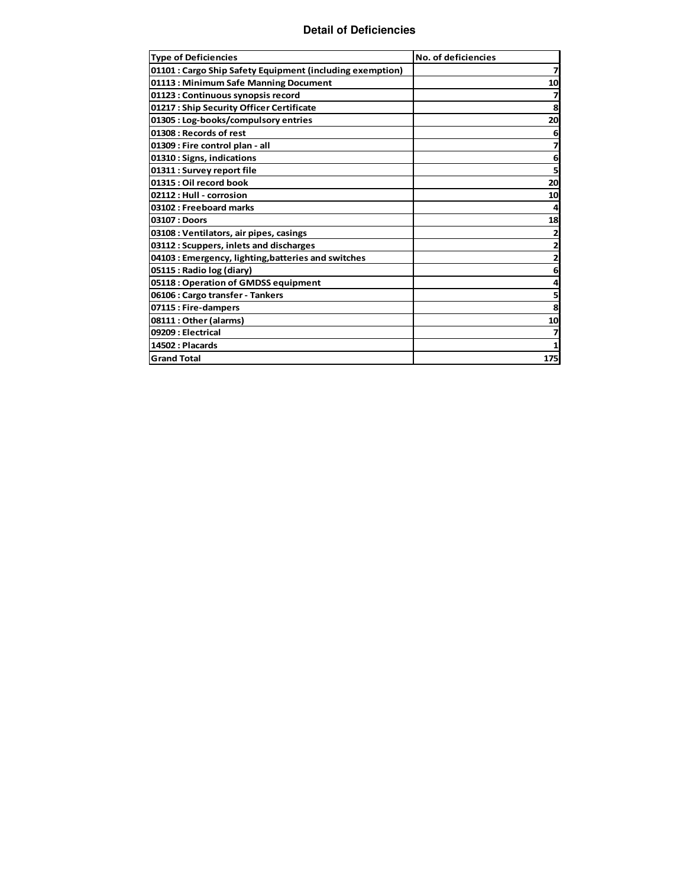#### **Detail of Deficiencies**

| <b>Type of Deficiencies</b>                               | <b>No. of deficiencies</b> |
|-----------------------------------------------------------|----------------------------|
| 01101 : Cargo Ship Safety Equipment (including exemption) | 7                          |
| 01113: Minimum Safe Manning Document                      | 10                         |
| 01123 : Continuous synopsis record                        |                            |
| 01217: Ship Security Officer Certificate                  | 8                          |
| 01305 : Log-books/compulsory entries                      | 20                         |
| 01308 : Records of rest                                   | 6                          |
| 01309 : Fire control plan - all                           |                            |
| 01310: Signs, indications                                 | 6                          |
| 01311 : Survey report file                                |                            |
| 01315 : Oil record book                                   | 20                         |
| 02112 : Hull - corrosion                                  | 10                         |
| 03102 : Freeboard marks                                   |                            |
| 03107 : Doors                                             | 18                         |
| 03108 : Ventilators, air pipes, casings                   |                            |
| 03112: Scuppers, inlets and discharges                    |                            |
| 04103 : Emergency, lighting, batteries and switches       |                            |
| 05115 : Radio log (diary)                                 | 6                          |
| 05118: Operation of GMDSS equipment                       |                            |
| 06106: Cargo transfer - Tankers                           | 5                          |
| 07115: Fire-dampers                                       | 8                          |
| 08111 : Other (alarms)                                    | 10                         |
| 09209 : Electrical                                        |                            |
| 14502 : Placards                                          |                            |
| <b>Grand Total</b>                                        | 175                        |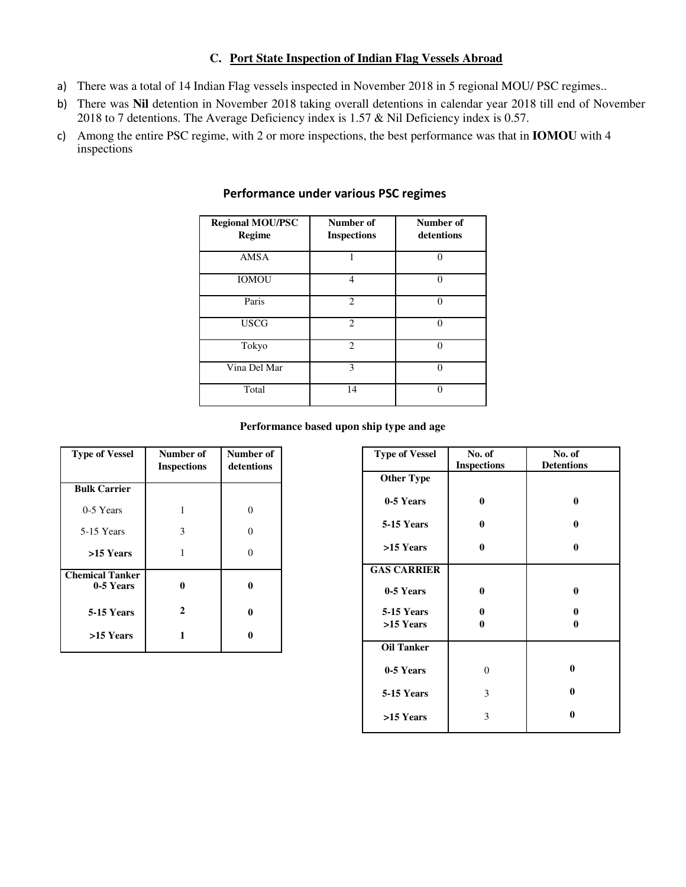# **C. Port State Inspection of Indian Flag Vessels Abroad**

- a) There was a total of 14 Indian Flag vessels inspected in November 2018 in 5 regional MOU/ PSC regimes..
- b) There was **Nil** detention in November 2018 taking overall detentions in calendar year 2018 till end of November 2018 to 7 detentions. The Average Deficiency index is 1.57 & Nil Deficiency index is 0.57.
- c) Among the entire PSC regime, with 2 or more inspections, the best performance was that in **IOMOU** with 4 inspections

| <b>Regional MOU/PSC</b><br><b>Regime</b> | Number of<br><b>Inspections</b> | Number of<br>detentions |
|------------------------------------------|---------------------------------|-------------------------|
| <b>AMSA</b>                              |                                 | ∩                       |
| <b>IOMOU</b>                             | 4                               | ∩                       |
| Paris                                    | $\mathfrak{D}$                  | 0                       |
| <b>USCG</b>                              | $\overline{c}$                  | 0                       |
| Tokyo                                    | $\mathfrak{D}$                  | $\Omega$                |
| Vina Del Mar                             | 3                               |                         |
| Total                                    | 14                              | $\Omega$                |

# **Performance under various PSC regimes**

#### **Performance based upon ship type and age**

| <b>Type of Vessel</b>               | Number of<br><b>Inspections</b> | Number of<br>detentions |
|-------------------------------------|---------------------------------|-------------------------|
| <b>Bulk Carrier</b>                 |                                 |                         |
| 0-5 Years                           | 1                               |                         |
| 5-15 Years                          | 3                               |                         |
| >15 Years                           |                                 |                         |
| <b>Chemical Tanker</b><br>0-5 Years | 0                               | 0                       |
| 5-15 Years                          | 2                               | 0                       |
| >15 Years                           |                                 | 0                       |

| <b>Type of Vessel</b> | No. of<br><b>Inspections</b> | No. of<br><b>Detentions</b> |
|-----------------------|------------------------------|-----------------------------|
| <b>Other Type</b>     |                              |                             |
| 0-5 Years             | 0                            | 0                           |
| 5-15 Years            | $\bf{0}$                     | 0                           |
| >15 Years             | $\bf{0}$                     | 0                           |
| <b>GAS CARRIER</b>    |                              |                             |
| 0-5 Years             | $\bf{0}$                     | 0                           |
| 5-15 Years            | 0                            | 0                           |
| >15 Years             | 0                            | 0                           |
| <b>Oil Tanker</b>     |                              |                             |
| 0-5 Years             | 0                            | $\bf{0}$                    |
| 5-15 Years            | 3                            | 0                           |
| >15 Years             | 3                            | $\bf{0}$                    |